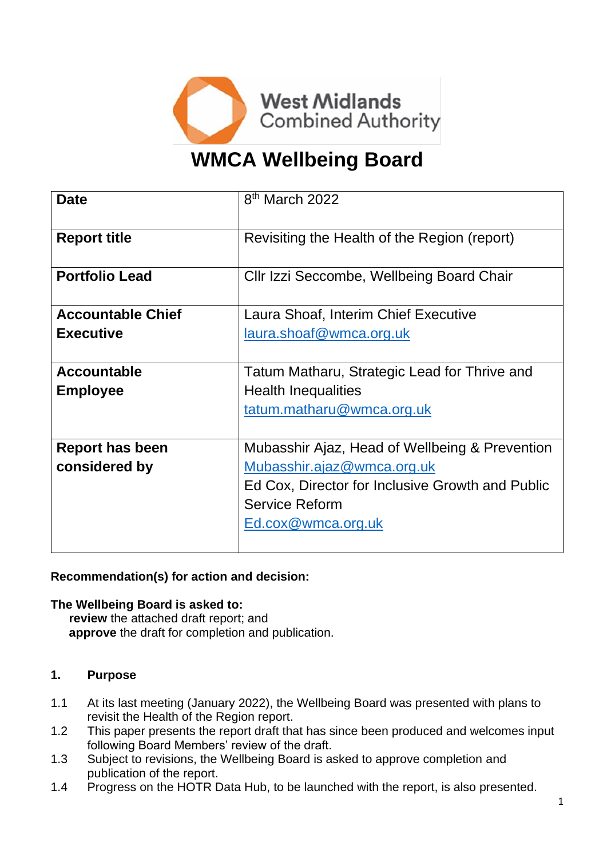

# **WMCA Wellbeing Board**

| <b>Date</b>              | 8 <sup>th</sup> March 2022                       |
|--------------------------|--------------------------------------------------|
| <b>Report title</b>      | Revisiting the Health of the Region (report)     |
| <b>Portfolio Lead</b>    | Cllr Izzi Seccombe, Wellbeing Board Chair        |
| <b>Accountable Chief</b> | Laura Shoaf, Interim Chief Executive             |
| <b>Executive</b>         | laura.shoaf@wmca.org.uk                          |
| <b>Accountable</b>       | Tatum Matharu, Strategic Lead for Thrive and     |
| <b>Employee</b>          | <b>Health Inequalities</b>                       |
|                          | tatum.matharu@wmca.org.uk                        |
| Report has been          | Mubasshir Ajaz, Head of Wellbeing & Prevention   |
| considered by            | Mubasshir.ajaz@wmca.org.uk                       |
|                          | Ed Cox, Director for Inclusive Growth and Public |
|                          | <b>Service Reform</b>                            |
|                          | Ed.cox@wmca.org.uk                               |
|                          |                                                  |

#### **Recommendation(s) for action and decision:**

#### **The Wellbeing Board is asked to:**

**review** the attached draft report; and **approve** the draft for completion and publication.

## **1. Purpose**

- 1.1 At its last meeting (January 2022), the Wellbeing Board was presented with plans to revisit the Health of the Region report.
- 1.2 This paper presents the report draft that has since been produced and welcomes input following Board Members' review of the draft.
- 1.3 Subject to revisions, the Wellbeing Board is asked to approve completion and publication of the report.
- 1.4 Progress on the HOTR Data Hub, to be launched with the report, is also presented.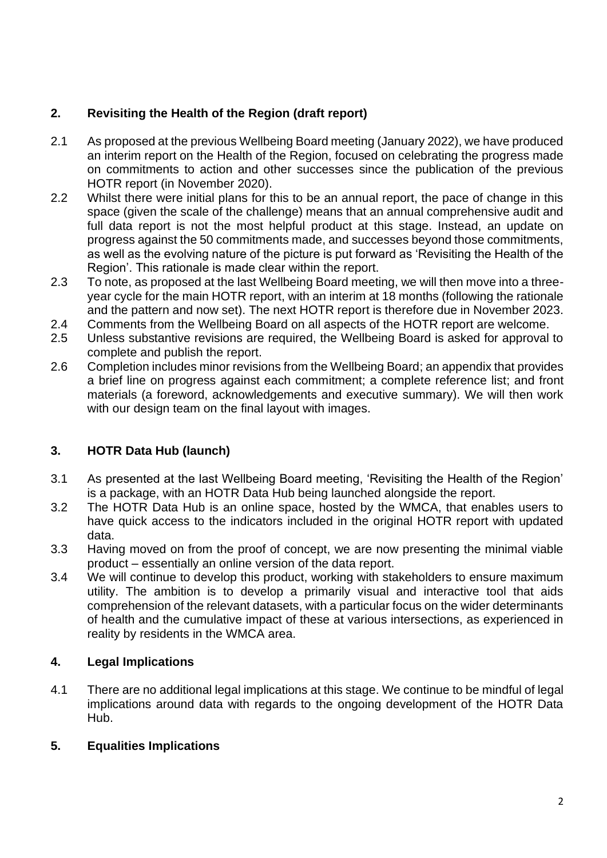## **2. Revisiting the Health of the Region (draft report)**

- 2.1 As proposed at the previous Wellbeing Board meeting (January 2022), we have produced an interim report on the Health of the Region, focused on celebrating the progress made on commitments to action and other successes since the publication of the previous HOTR report (in November 2020).
- 2.2 Whilst there were initial plans for this to be an annual report, the pace of change in this space (given the scale of the challenge) means that an annual comprehensive audit and full data report is not the most helpful product at this stage. Instead, an update on progress against the 50 commitments made, and successes beyond those commitments, as well as the evolving nature of the picture is put forward as 'Revisiting the Health of the Region'. This rationale is made clear within the report.
- 2.3 To note, as proposed at the last Wellbeing Board meeting, we will then move into a threeyear cycle for the main HOTR report, with an interim at 18 months (following the rationale and the pattern and now set). The next HOTR report is therefore due in November 2023.
- 2.4 Comments from the Wellbeing Board on all aspects of the HOTR report are welcome.
- 2.5 Unless substantive revisions are required, the Wellbeing Board is asked for approval to complete and publish the report.
- 2.6 Completion includes minor revisions from the Wellbeing Board; an appendix that provides a brief line on progress against each commitment; a complete reference list; and front materials (a foreword, acknowledgements and executive summary). We will then work with our design team on the final layout with images.

## **3. HOTR Data Hub (launch)**

- 3.1 As presented at the last Wellbeing Board meeting, 'Revisiting the Health of the Region' is a package, with an HOTR Data Hub being launched alongside the report.
- 3.2 The HOTR Data Hub is an online space, hosted by the WMCA, that enables users to have quick access to the indicators included in the original HOTR report with updated data.
- 3.3 Having moved on from the proof of concept, we are now presenting the minimal viable product – essentially an online version of the data report.
- 3.4 We will continue to develop this product, working with stakeholders to ensure maximum utility. The ambition is to develop a primarily visual and interactive tool that aids comprehension of the relevant datasets, with a particular focus on the wider determinants of health and the cumulative impact of these at various intersections, as experienced in reality by residents in the WMCA area.

## **4. Legal Implications**

4.1 There are no additional legal implications at this stage. We continue to be mindful of legal implications around data with regards to the ongoing development of the HOTR Data Hub.

## **5. Equalities Implications**